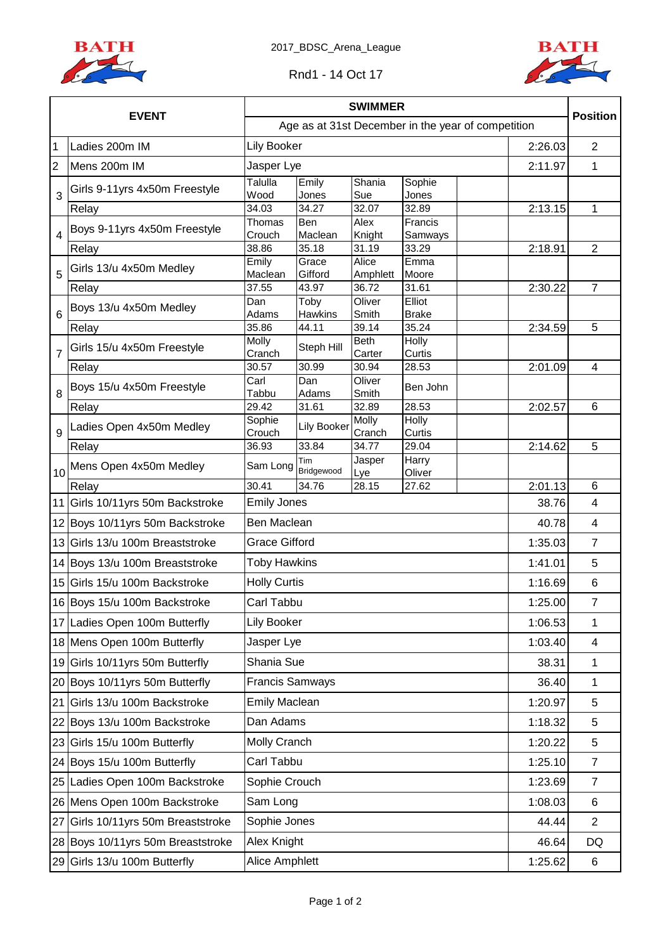



| <b>EVENT</b>   |                                    | <b>SWIMMER</b>                                     |                           |                      |                 |                |                 |
|----------------|------------------------------------|----------------------------------------------------|---------------------------|----------------------|-----------------|----------------|-----------------|
|                |                                    | Age as at 31st December in the year of competition | <b>Position</b>           |                      |                 |                |                 |
| $\mathbf 1$    | Ladies 200m IM                     | <b>Lily Booker</b>                                 | 2:26.03<br>$\overline{2}$ |                      |                 |                |                 |
| $\overline{2}$ | Mens 200m IM                       | Jasper Lye                                         |                           |                      |                 | 2:11.97        | $\mathbf{1}$    |
| 3              | Girls 9-11yrs 4x50m Freestyle      | Talulla<br>Wood                                    | Emily<br>Jones            | Shania<br>Sue        | Sophie<br>Jones |                |                 |
|                | Relay                              | 34.03                                              | 34.27                     | 32.07                | 32.89           | 2:13.15        | 1               |
|                | Boys 9-11yrs 4x50m Freestyle       | Thomas                                             | Ben                       | Alex                 | Francis         |                |                 |
| 4              |                                    | Crouch                                             | Maclean                   | Knight               | Samways         |                |                 |
|                | Relay                              | 38.86<br>Emily                                     | 35.18<br>Grace            | 31.19<br>Alice       | 33.29<br>Emma   | 2:18.91        | $\overline{2}$  |
| 5<br>6         | Girls 13/u 4x50m Medley            | Maclean                                            | Gifford                   | Amphlett             | Moore           |                |                 |
|                | Relay                              | 37.55                                              | 43.97                     | 36.72                | 31.61           | 2:30.22        | $\overline{7}$  |
|                | Boys 13/u 4x50m Medley             | Dan                                                | Toby                      | Oliver               | Elliot          |                |                 |
|                |                                    | Adams                                              | <b>Hawkins</b>            | Smith                | <b>Brake</b>    |                |                 |
|                | Relay                              | 35.86<br>Molly                                     | 44.11                     | 39.14<br><b>Beth</b> | 35.24<br>Holly  | 2:34.59        | 5               |
| $\overline{7}$ | Girls 15/u 4x50m Freestyle         | Cranch                                             | Steph Hill                | Carter               | Curtis          |                |                 |
|                | Relay                              | 30.57                                              | 30.99                     | 30.94                | 28.53           | 2:01.09        | 4               |
|                | Boys 15/u 4x50m Freestyle          | Carl                                               | Dan                       | Oliver               | Ben John        |                |                 |
| 8              |                                    | Tabbu                                              | Adams                     | Smith                |                 |                |                 |
|                | Relay                              | 29.42<br>Sophie                                    | 31.61                     | 32.89<br>Molly       | 28.53<br>Holly  | 2:02.57        | $6\phantom{1}6$ |
| 9              | Ladies Open 4x50m Medley           | Crouch                                             | Lily Booker               | Cranch               | Curtis          |                |                 |
|                | Relay                              | 36.93                                              | 33.84                     | 34.77                | 29.04           | 2:14.62        | 5               |
| 10             | Mens Open 4x50m Medley             | Sam Long                                           | Tim<br>Bridgewood         | Jasper<br>Lye        | Harry<br>Oliver |                |                 |
|                | Relay                              | 30.41                                              | 34.76                     | 28.15                | 27.62           | 2:01.13        | 6               |
|                | 11 Girls 10/11yrs 50m Backstroke   |                                                    | <b>Emily Jones</b>        |                      |                 |                | 4<br>38.76      |
|                | 12 Boys 10/11yrs 50m Backstroke    | Ben Maclean<br>40.78                               |                           |                      |                 |                | 4               |
|                | 13 Girls 13/u 100m Breaststroke    | <b>Grace Gifford</b><br>1:35.03                    |                           |                      |                 |                | $\overline{7}$  |
|                | 14 Boys 13/u 100m Breaststroke     | <b>Toby Hawkins</b><br>1:41.01                     |                           |                      |                 |                | 5               |
|                | 15 Girls 15/u 100m Backstroke      | <b>Holly Curtis</b><br>1:16.69                     |                           |                      |                 |                | $6\phantom{1}6$ |
|                | 16 Boys 15/u 100m Backstroke       | Carl Tabbu<br>1:25.00                              |                           |                      |                 |                | 7               |
|                | 17 Ladies Open 100m Butterfly      | Lily Booker<br>1:06.53                             |                           |                      |                 |                | 1               |
|                | 18 Mens Open 100m Butterfly        | Jasper Lye<br>1:03.40                              |                           |                      |                 |                | $\overline{4}$  |
|                | 19 Girls 10/11yrs 50m Butterfly    | Shania Sue<br>38.31                                |                           |                      |                 |                | $\mathbf 1$     |
|                | 20 Boys 10/11yrs 50m Butterfly     | <b>Francis Samways</b><br>36.40                    |                           |                      |                 |                | $\mathbf{1}$    |
| 21             | Girls 13/u 100m Backstroke         | <b>Emily Maclean</b><br>1:20.97                    |                           |                      |                 |                | 5               |
|                | 22 Boys 13/u 100m Backstroke       | Dan Adams<br>1:18.32                               |                           |                      |                 |                | 5               |
|                | 23 Girls 15/u 100m Butterfly       | Molly Cranch<br>1:20.22                            |                           |                      |                 |                | 5               |
|                | 24 Boys 15/u 100m Butterfly        | Carl Tabbu<br>1:25.10                              |                           |                      |                 |                | $\overline{7}$  |
|                | 25 Ladies Open 100m Backstroke     | Sophie Crouch<br>1:23.69                           |                           |                      |                 | $\overline{7}$ |                 |
|                | 26 Mens Open 100m Backstroke       | Sam Long<br>1:08.03                                |                           |                      |                 |                | 6               |
| 27             | Girls 10/11yrs 50m Breaststroke    | Sophie Jones<br>44.44                              |                           |                      |                 |                | $\overline{2}$  |
|                | 28 Boys 10/11 yrs 50m Breaststroke | Alex Knight<br>46.64                               |                           |                      |                 |                | DQ              |
|                | 29 Girls 13/u 100m Butterfly       | Alice Amphlett                                     |                           |                      |                 |                | 1:25.62<br>6    |